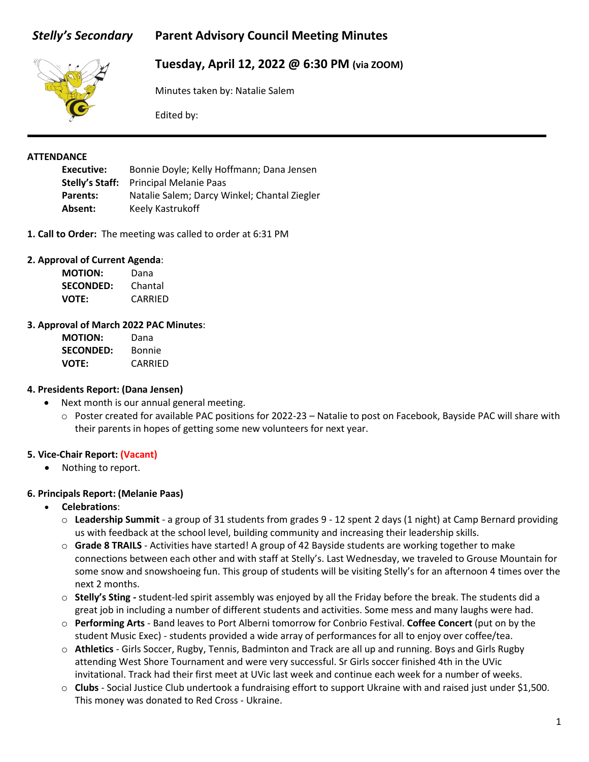# *Stelly's Secondary* **Parent Advisory Council Meeting Minutes**



# **Tuesday, April 12, 2022 @ 6:30 PM (via ZOOM)**

Minutes taken by: Natalie Salem

Edited by:

### **ATTENDANCE**

**Executive:** Bonnie Doyle; Kelly Hoffmann; Dana Jensen **Stelly's Staff:** Principal Melanie Paas **Parents:** Natalie Salem; Darcy Winkel; Chantal Ziegler Absent: Keely Kastrukoff

**1. Call to Order:** The meeting was called to order at 6:31 PM

### **2. Approval of Current Agenda**:

| <b>MOTION:</b>   | Dana    |
|------------------|---------|
| <b>SECONDED:</b> | Chantal |
| <b>VOTE:</b>     | CARRIED |

#### **3. Approval of March 2022 PAC Minutes**:

| <b>MOTION:</b>   | Dana    |
|------------------|---------|
| <b>SECONDED:</b> | Bonnie  |
| <b>VOTE:</b>     | CARRIED |

### **4. Presidents Report: (Dana Jensen)**

- Next month is our annual general meeting.
	- o Poster created for available PAC positions for 2022-23 Natalie to post on Facebook, Bayside PAC will share with their parents in hopes of getting some new volunteers for next year.

### **5. Vice-Chair Report: (Vacant)**

• Nothing to report.

### **6. Principals Report: (Melanie Paas)**

- **Celebrations**:
	- o **Leadership Summit**  a group of 31 students from grades 9 12 spent 2 days (1 night) at Camp Bernard providing us with feedback at the school level, building community and increasing their leadership skills.
	- o **Grade 8 TRAILS**  Activities have started! A group of 42 Bayside students are working together to make connections between each other and with staff at Stelly's. Last Wednesday, we traveled to Grouse Mountain for some snow and snowshoeing fun. This group of students will be visiting Stelly's for an afternoon 4 times over the next 2 months.
	- o **Stelly's Sting -** student-led spirit assembly was enjoyed by all the Friday before the break. The students did a great job in including a number of different students and activities. Some mess and many laughs were had.
	- o **Performing Arts** Band leaves to Port Alberni tomorrow for Conbrio Festival. **Coffee Concert** (put on by the student Music Exec) - students provided a wide array of performances for all to enjoy over coffee/tea.
	- o **Athletics**  Girls Soccer, Rugby, Tennis, Badminton and Track are all up and running. Boys and Girls Rugby attending West Shore Tournament and were very successful. Sr Girls soccer finished 4th in the UVic invitational. Track had their first meet at UVic last week and continue each week for a number of weeks.
	- o **Clubs**  Social Justice Club undertook a fundraising effort to support Ukraine with and raised just under \$1,500. This money was donated to Red Cross - Ukraine.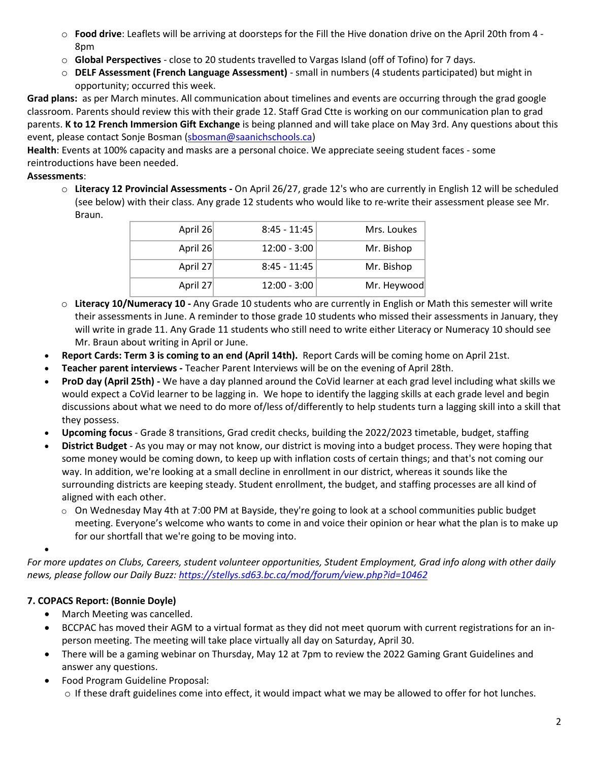- o **Food drive**: Leaflets will be arriving at doorsteps for the Fill the Hive donation drive on the April 20th from 4 8pm
- o **Global Perspectives** close to 20 students travelled to Vargas Island (off of Tofino) for 7 days.
- o **DELF Assessment (French Language Assessment)** small in numbers (4 students participated) but might in opportunity; occurred this week.

**Grad plans:** as per March minutes. All communication about timelines and events are occurring through the grad google classroom. Parents should review this with their grade 12. Staff Grad Ctte is working on our communication plan to grad parents. **K to 12 French Immersion Gift Exchange** is being planned and will take place on May 3rd. Any questions about this event, please contact Sonje Bosman [\(sbosman@saanichschools.ca\)](mailto:sbosman@saanichschools.ca)

**Health**: Events at 100% capacity and masks are a personal choice. We appreciate seeing student faces - some reintroductions have been needed.

# **Assessments**:

o **Literacy 12 Provincial Assessments -** On April 26/27, grade 12's who are currently in English 12 will be scheduled (see below) with their class. Any grade 12 students who would like to re-write their assessment please see Mr. Braun.

| April 26 | $8:45 - 11:45$ | Mrs. Loukes |
|----------|----------------|-------------|
| April 26 | $12:00 - 3:00$ | Mr. Bishop  |
| April 27 | $8:45 - 11:45$ | Mr. Bishop  |
| April 27 | $12:00 - 3:00$ | Mr. Heywood |

- o **Literacy 10/Numeracy 10** Any Grade 10 students who are currently in English or Math this semester will write their assessments in June. A reminder to those grade 10 students who missed their assessments in January, they will write in grade 11. Any Grade 11 students who still need to write either Literacy or Numeracy 10 should see Mr. Braun about writing in April or June.
- **Report Cards: Term 3 is coming to an end (April 14th).** Report Cards will be coming home on April 21st.
- **Teacher parent interviews** Teacher Parent Interviews will be on the evening of April 28th.
- **ProD day (April 25th)** We have a day planned around the CoVid learner at each grad level including what skills we would expect a CoVid learner to be lagging in. We hope to identify the lagging skills at each grade level and begin discussions about what we need to do more of/less of/differently to help students turn a lagging skill into a skill that they possess.
- **Upcoming focus**  Grade 8 transitions, Grad credit checks, building the 2022/2023 timetable, budget, staffing
- **District Budget** As you may or may not know, our district is moving into a budget process. They were hoping that some money would be coming down, to keep up with inflation costs of certain things; and that's not coming our way. In addition, we're looking at a small decline in enrollment in our district, whereas it sounds like the surrounding districts are keeping steady. Student enrollment, the budget, and staffing processes are all kind of aligned with each other.
	- $\circ$  On Wednesday May 4th at 7:00 PM at Bayside, they're going to look at a school communities public budget meeting. Everyone's welcome who wants to come in and voice their opinion or hear what the plan is to make up for our shortfall that we're going to be moving into.

*For more updates on Clubs, Careers, student volunteer opportunities, Student Employment, Grad info along with other daily news, please follow our Daily Buzz:<https://stellys.sd63.bc.ca/mod/forum/view.php?id=10462>*

# **7. COPACS Report: (Bonnie Doyle)**

•

- March Meeting was cancelled.
- BCCPAC has moved their AGM to a virtual format as they did not meet quorum with current registrations for an inperson meeting. The meeting will take place virtually all day on Saturday, April 30.
- There will be a gaming webinar on Thursday, May 12 at 7pm to review the 2022 Gaming Grant Guidelines and answer any questions.
- Food Program Guideline Proposal: o If these draft guidelines come into effect, it would impact what we may be allowed to offer for hot lunches.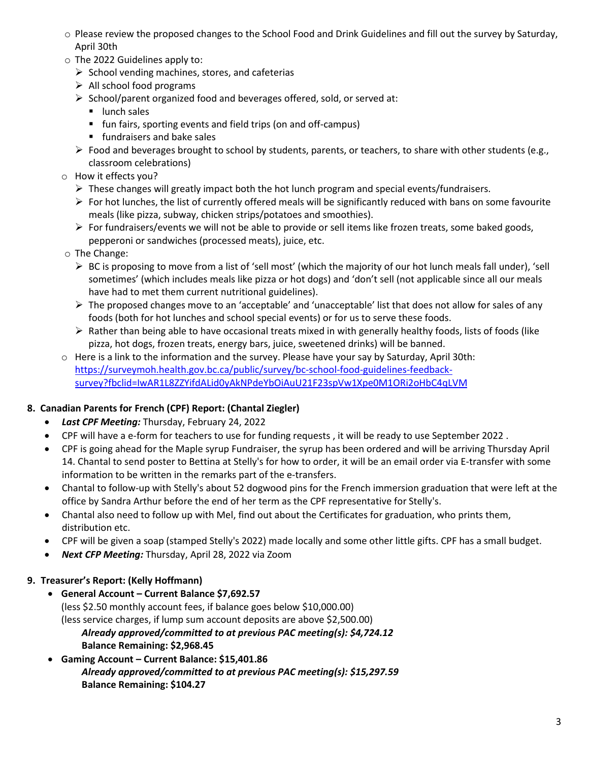- o Please review the proposed changes to the School Food and Drink Guidelines and fill out the survey by Saturday, April 30th
- o The 2022 Guidelines apply to:
	- $\triangleright$  School vending machines, stores, and cafeterias
	- $\triangleright$  All school food programs
	- $\triangleright$  School/parent organized food and beverages offered, sold, or served at:
		- **I** lunch sales
		- fun fairs, sporting events and field trips (on and off-campus)
		- **Filter** fundraisers and bake sales
	- $\triangleright$  Food and beverages brought to school by students, parents, or teachers, to share with other students (e.g., classroom celebrations)
- o How it effects you?
	- $\triangleright$  These changes will greatly impact both the hot lunch program and special events/fundraisers.
	- $\triangleright$  For hot lunches, the list of currently offered meals will be significantly reduced with bans on some favourite meals (like pizza, subway, chicken strips/potatoes and smoothies).
	- $\triangleright$  For fundraisers/events we will not be able to provide or sell items like frozen treats, some baked goods, pepperoni or sandwiches (processed meats), juice, etc.
- o The Change:
	- $\triangleright$  BC is proposing to move from a list of 'sell most' (which the majority of our hot lunch meals fall under), 'sell sometimes' (which includes meals like pizza or hot dogs) and 'don't sell (not applicable since all our meals have had to met them current nutritional guidelines).
	- $\triangleright$  The proposed changes move to an 'acceptable' and 'unacceptable' list that does not allow for sales of any foods (both for hot lunches and school special events) or for us to serve these foods.
	- $\triangleright$  Rather than being able to have occasional treats mixed in with generally healthy foods, lists of foods (like pizza, hot dogs, frozen treats, energy bars, juice, sweetened drinks) will be banned.
- o Here is a link to the information and the survey. Please have your say by Saturday, April 30th: [https://surveymoh.health.gov.bc.ca/public/survey/bc-school-food-guidelines-feedback](https://nam12.safelinks.protection.outlook.com/?url=https%3A%2F%2Fsurveymoh.health.gov.bc.ca%2Fpublic%2Fsurvey%2Fbc-school-food-guidelines-feedback-survey%3Ffbclid%3DIwAR1L8ZZYifdALid0yAkNPdeYbOiAuU21F23spVw1Xpe0M1ORi2oHbC4qLVM&data=04%7C01%7C%7Ce612c4e5028b43d54b3408da1cf3ef03%7C84df9e7fe9f640afb435aaaaaaaaaaaa%7C1%7C0%7C637854131250869608%7CUnknown%7CTWFpbGZsb3d8eyJWIjoiMC4wLjAwMDAiLCJQIjoiV2luMzIiLCJBTiI6Ik1haWwiLCJXVCI6Mn0%3D%7C3000&sdata=PhM70yjSNk%2FWkP3F9F5HUXV7RB4JwzJxDTafQ93IdFg%3D&reserved=0)[survey?fbclid=IwAR1L8ZZYifdALid0yAkNPdeYbOiAuU21F23spVw1Xpe0M1ORi2oHbC4qLVM](https://nam12.safelinks.protection.outlook.com/?url=https%3A%2F%2Fsurveymoh.health.gov.bc.ca%2Fpublic%2Fsurvey%2Fbc-school-food-guidelines-feedback-survey%3Ffbclid%3DIwAR1L8ZZYifdALid0yAkNPdeYbOiAuU21F23spVw1Xpe0M1ORi2oHbC4qLVM&data=04%7C01%7C%7Ce612c4e5028b43d54b3408da1cf3ef03%7C84df9e7fe9f640afb435aaaaaaaaaaaa%7C1%7C0%7C637854131250869608%7CUnknown%7CTWFpbGZsb3d8eyJWIjoiMC4wLjAwMDAiLCJQIjoiV2luMzIiLCJBTiI6Ik1haWwiLCJXVCI6Mn0%3D%7C3000&sdata=PhM70yjSNk%2FWkP3F9F5HUXV7RB4JwzJxDTafQ93IdFg%3D&reserved=0)

# **8. Canadian Parents for French (CPF) Report: (Chantal Ziegler)**

- *Last CPF Meeting:* Thursday, February 24, 2022
- CPF will have a e-form for teachers to use for funding requests , it will be ready to use September 2022 .
- CPF is going ahead for the Maple syrup Fundraiser, the syrup has been ordered and will be arriving Thursday April 14. Chantal to send poster to Bettina at Stelly's for how to order, it will be an email order via E-transfer with some information to be written in the remarks part of the e-transfers.
- Chantal to follow-up with Stelly's about 52 dogwood pins for the French immersion graduation that were left at the office by Sandra Arthur before the end of her term as the CPF representative for Stelly's.
- Chantal also need to follow up with Mel, find out about the Certificates for graduation, who prints them, distribution etc.
- CPF will be given a soap (stamped Stelly's 2022) made locally and some other little gifts. CPF has a small budget.
- *Next CFP Meeting:* Thursday, April 28, 2022 via Zoom

# **9. Treasurer's Report: (Kelly Hoffmann)**

- **General Account Current Balance \$7,692.57** (less \$2.50 monthly account fees, if balance goes below \$10,000.00) (less service charges, if lump sum account deposits are above \$2,500.00) *Already approved/committed to at previous PAC meeting(s): \$4,724.12* **Balance Remaining: \$2,968.45**
- **Gaming Account Current Balance: \$15,401.86** *Already approved/committed to at previous PAC meeting(s): \$15,297.59* **Balance Remaining: \$104.27**